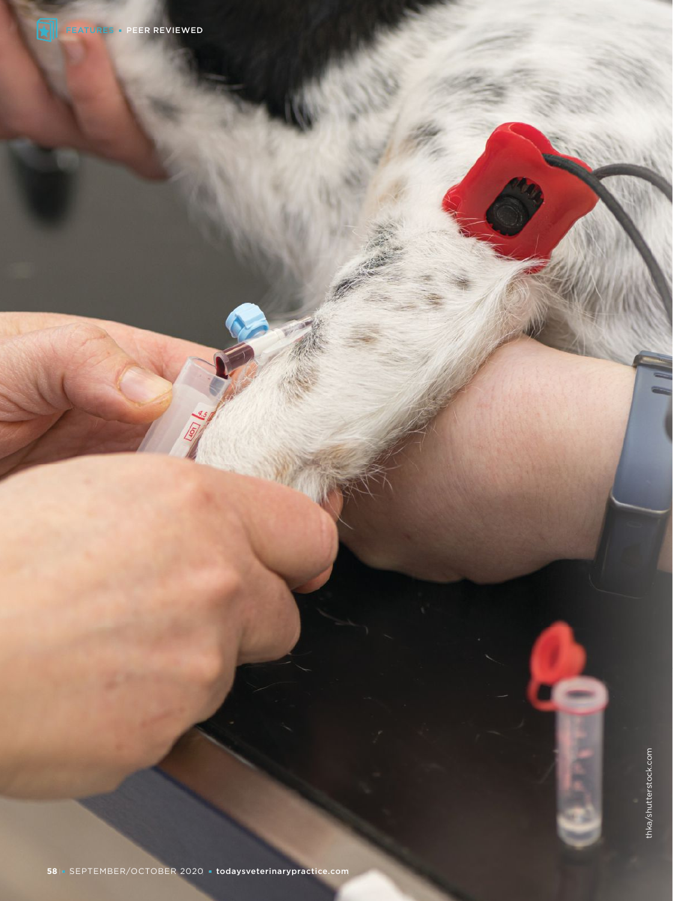

**CRES**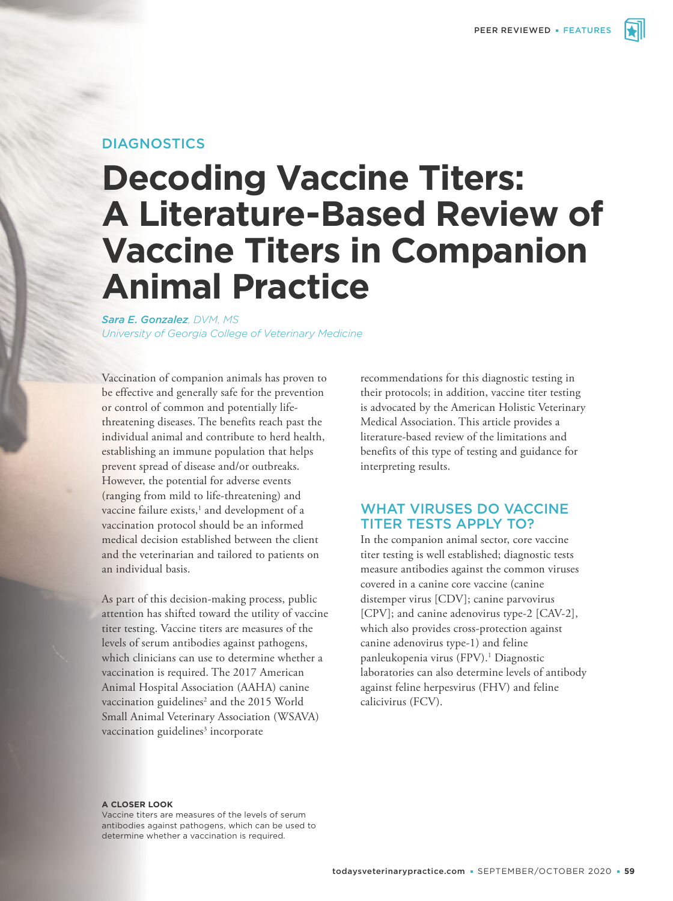## **DIAGNOSTICS**

# **Decoding Vaccine Titers: A Literature-Based Review of Vaccine Titers in Companion Animal Practice**

*Sara E. Gonzalez, DVM, MS University of Georgia College of Veterinary Medicine*

Vaccination of companion animals has proven to be effective and generally safe for the prevention or control of common and potentially lifethreatening diseases. The benefits reach past the individual animal and contribute to herd health, establishing an immune population that helps prevent spread of disease and/or outbreaks. However, the potential for adverse events (ranging from mild to life-threatening) and vaccine failure exists,<sup>1</sup> and development of a vaccination protocol should be an informed medical decision established between the client and the veterinarian and tailored to patients on an individual basis.

As part of this decision-making process, public attention has shifted toward the utility of vaccine titer testing. Vaccine titers are measures of the levels of serum antibodies against pathogens, which clinicians can use to determine whether a vaccination is required. The 2017 American Animal Hospital Association (AAHA) canine vaccination guidelines<sup>2</sup> and the 2015 World Small Animal Veterinary Association (WSAVA) vaccination guidelines<sup>3</sup> incorporate

recommendations for this diagnostic testing in their protocols; in addition, vaccine titer testing is advocated by the American Holistic Veterinary Medical Association. This article provides a literature-based review of the limitations and benefits of this type of testing and guidance for interpreting results.

## WHAT VIRUSES DO VACCINE TITER TESTS APPLY TO?

In the companion animal sector, core vaccine titer testing is well established; diagnostic tests measure antibodies against the common viruses covered in a canine core vaccine (canine distemper virus [CDV]; canine parvovirus [CPV]; and canine adenovirus type-2 [CAV-2], which also provides cross-protection against canine adenovirus type-1) and feline panleukopenia virus (FPV).1 Diagnostic laboratories can also determine levels of antibody against feline herpesvirus (FHV) and feline calicivirus (FCV).

#### **A CLOSER LOOK**

Vaccine titers are measures of the levels of serum antibodies against pathogens, which can be used to determine whether a vaccination is required.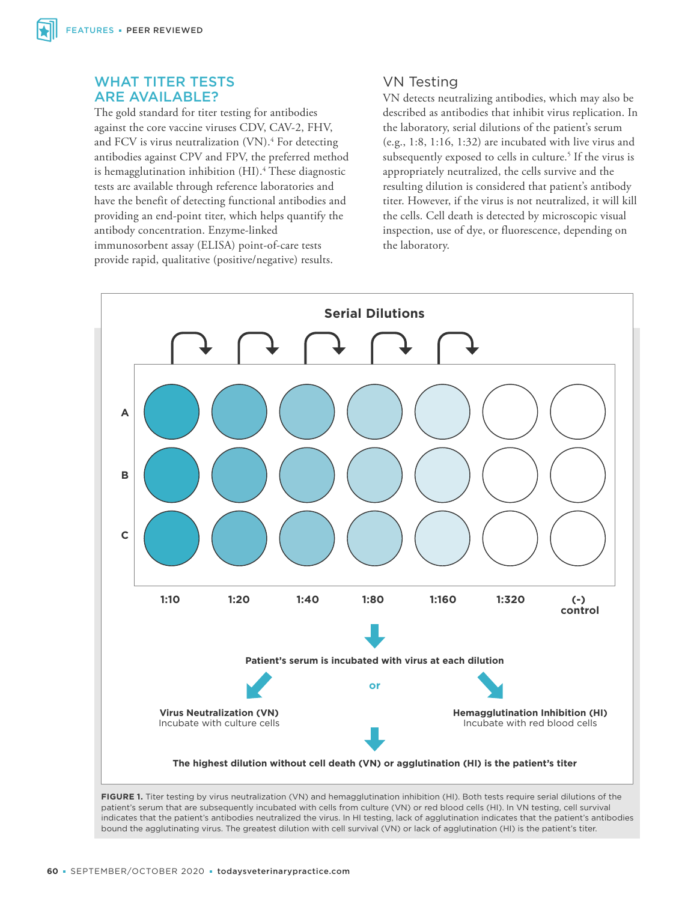## WHAT TITER TESTS ARE AVAILABLE?

The gold standard for titer testing for antibodies against the core vaccine viruses CDV, CAV-2, FHV, and FCV is virus neutralization (VN).<sup>4</sup> For detecting antibodies against CPV and FPV, the preferred method is hemagglutination inhibition (HI).4 These diagnostic tests are available through reference laboratories and have the benefit of detecting functional antibodies and providing an end-point titer, which helps quantify the antibody concentration. Enzyme-linked immunosorbent assay (ELISA) point-of-care tests provide rapid, qualitative (positive/negative) results.

# VN Testing

VN detects neutralizing antibodies, which may also be described as antibodies that inhibit virus replication. In the laboratory, serial dilutions of the patient's serum (e.g., 1:8, 1:16, 1:32) are incubated with live virus and subsequently exposed to cells in culture.<sup>5</sup> If the virus is appropriately neutralized, the cells survive and the resulting dilution is considered that patient's antibody titer. However, if the virus is not neutralized, it will kill the cells. Cell death is detected by microscopic visual inspection, use of dye, or fluorescence, depending on the laboratory.



**FIGURE 1.** Titer testing by virus neutralization (VN) and hemagglutination inhibition (HI). Both tests require serial dilutions of the patient's serum that are subsequently incubated with cells from culture (VN) or red blood cells (HI). In VN testing, cell survival indicates that the patient's antibodies neutralized the virus. In HI testing, lack of agglutination indicates that the patient's antibodies bound the agglutinating virus. The greatest dilution with cell survival (VN) or lack of agglutination (HI) is the patient's titer.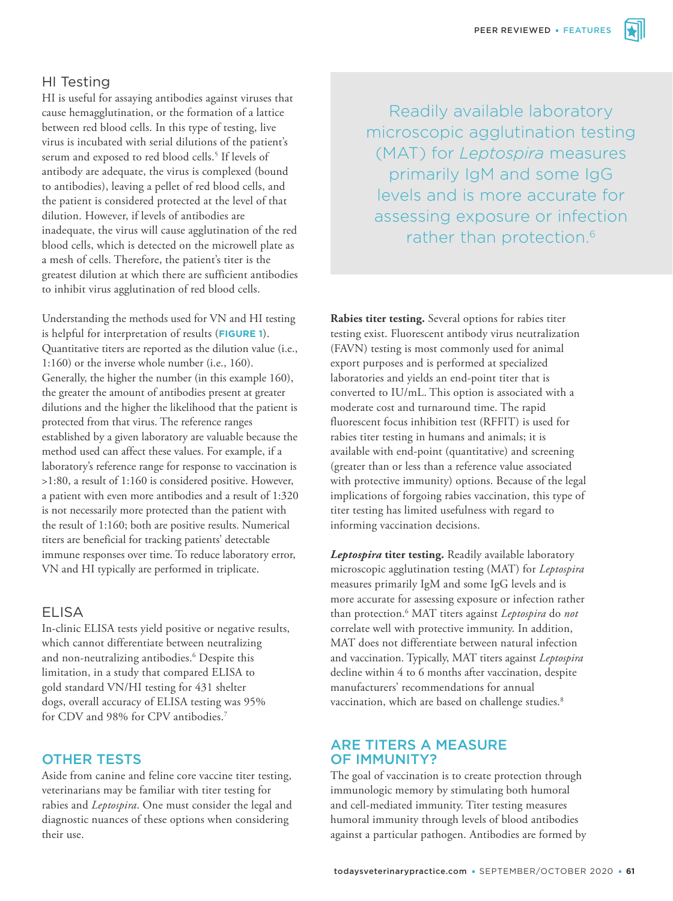# HI Testing

HI is useful for assaying antibodies against viruses that cause hemagglutination, or the formation of a lattice between red blood cells. In this type of testing, live virus is incubated with serial dilutions of the patient's serum and exposed to red blood cells.<sup>5</sup> If levels of antibody are adequate, the virus is complexed (bound to antibodies), leaving a pellet of red blood cells, and the patient is considered protected at the level of that dilution. However, if levels of antibodies are inadequate, the virus will cause agglutination of the red blood cells, which is detected on the microwell plate as a mesh of cells. Therefore, the patient's titer is the greatest dilution at which there are sufficient antibodies to inhibit virus agglutination of red blood cells.

Understanding the methods used for VN and HI testing is helpful for interpretation of results (**FIGURE 1**). Quantitative titers are reported as the dilution value (i.e., 1:160) or the inverse whole number (i.e., 160). Generally, the higher the number (in this example 160), the greater the amount of antibodies present at greater dilutions and the higher the likelihood that the patient is protected from that virus. The reference ranges established by a given laboratory are valuable because the method used can affect these values. For example, if a laboratory's reference range for response to vaccination is >1:80, a result of 1:160 is considered positive. However, a patient with even more antibodies and a result of 1:320 is not necessarily more protected than the patient with the result of 1:160; both are positive results. Numerical titers are beneficial for tracking patients' detectable immune responses over time. To reduce laboratory error, VN and HI typically are performed in triplicate.

## ELISA

In-clinic ELISA tests yield positive or negative results, which cannot differentiate between neutralizing and non-neutralizing antibodies.<sup>6</sup> Despite this limitation, in a study that compared ELISA to gold standard VN/HI testing for 431 shelter dogs, overall accuracy of ELISA testing was 95% for CDV and 98% for CPV antibodies.7

## OTHER TESTS

Aside from canine and feline core vaccine titer testing, veterinarians may be familiar with titer testing for rabies and *Leptospira*. One must consider the legal and diagnostic nuances of these options when considering their use.

Readily available laboratory microscopic agglutination testing (MAT) for *Leptospira* measures primarily IgM and some IgG levels and is more accurate for assessing exposure or infection rather than protection.<sup>6</sup>

**Rabies titer testing.** Several options for rabies titer testing exist. Fluorescent antibody virus neutralization (FAVN) testing is most commonly used for animal export purposes and is performed at specialized laboratories and yields an end-point titer that is converted to IU/mL. This option is associated with a moderate cost and turnaround time. The rapid fluorescent focus inhibition test (RFFIT) is used for rabies titer testing in humans and animals; it is available with end-point (quantitative) and screening (greater than or less than a reference value associated with protective immunity) options. Because of the legal implications of forgoing rabies vaccination, this type of titer testing has limited usefulness with regard to informing vaccination decisions.

*Leptospira* **titer testing.** Readily available laboratory microscopic agglutination testing (MAT) for *Leptospira*  measures primarily IgM and some IgG levels and is more accurate for assessing exposure or infection rather than protection.6 MAT titers against *Leptospira* do *not* correlate well with protective immunity. In addition, MAT does not differentiate between natural infection and vaccination. Typically, MAT titers against *Leptospira* decline within 4 to 6 months after vaccination, despite manufacturers' recommendations for annual vaccination, which are based on challenge studies.<sup>8</sup>

## ARE TITERS A MEASURE OF IMMUNITY?

The goal of vaccination is to create protection through immunologic memory by stimulating both humoral and cell-mediated immunity. Titer testing measures humoral immunity through levels of blood antibodies against a particular pathogen. Antibodies are formed by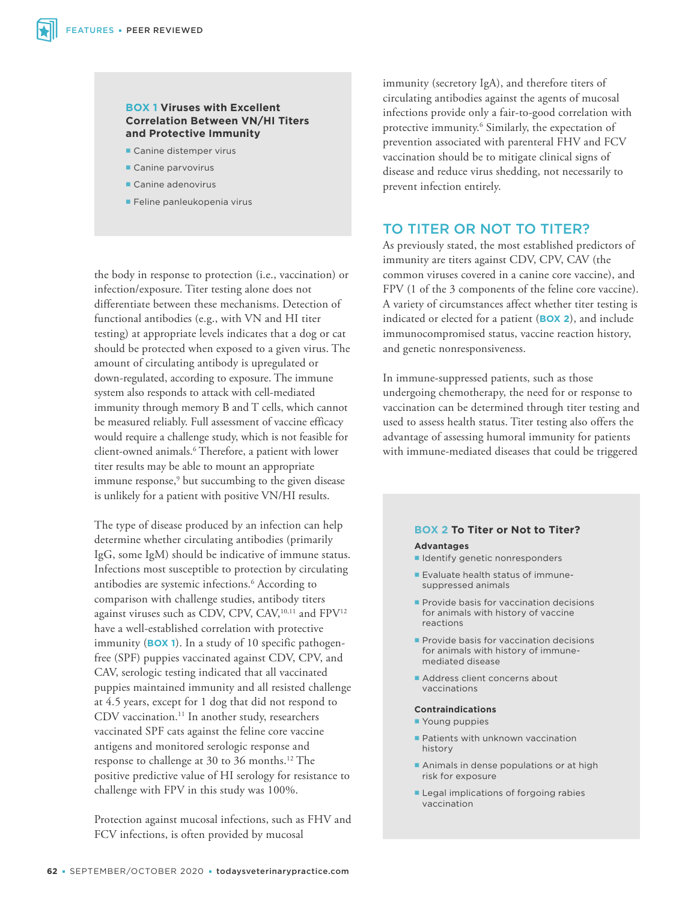#### **BOX 1 Viruses with Excellent Correlation Between VN/HI Titers and Protective Immunity**

- Canine distemper virus
- Canine parvovirus
- Canine adenovirus
- Feline panleukopenia virus

the body in response to protection (i.e., vaccination) or infection/exposure. Titer testing alone does not differentiate between these mechanisms. Detection of functional antibodies (e.g., with VN and HI titer testing) at appropriate levels indicates that a dog or cat should be protected when exposed to a given virus. The amount of circulating antibody is upregulated or down-regulated, according to exposure. The immune system also responds to attack with cell-mediated immunity through memory B and T cells, which cannot be measured reliably. Full assessment of vaccine efficacy would require a challenge study, which is not feasible for client-owned animals.6 Therefore, a patient with lower titer results may be able to mount an appropriate immune response,<sup>9</sup> but succumbing to the given disease is unlikely for a patient with positive VN/HI results.

The type of disease produced by an infection can help determine whether circulating antibodies (primarily IgG, some IgM) should be indicative of immune status. Infections most susceptible to protection by circulating antibodies are systemic infections.6 According to comparison with challenge studies, antibody titers against viruses such as CDV, CPV, CAV,<sup>10,11</sup> and FPV<sup>12</sup> have a well-established correlation with protective immunity (**BOX 1**). In a study of 10 specific pathogenfree (SPF) puppies vaccinated against CDV, CPV, and CAV, serologic testing indicated that all vaccinated puppies maintained immunity and all resisted challenge at 4.5 years, except for 1 dog that did not respond to CDV vaccination.<sup>11</sup> In another study, researchers vaccinated SPF cats against the feline core vaccine antigens and monitored serologic response and response to challenge at 30 to 36 months.12 The positive predictive value of HI serology for resistance to challenge with FPV in this study was 100%.

Protection against mucosal infections, such as FHV and FCV infections, is often provided by mucosal

immunity (secretory IgA), and therefore titers of circulating antibodies against the agents of mucosal infections provide only a fair-to-good correlation with protective immunity.<sup>6</sup> Similarly, the expectation of prevention associated with parenteral FHV and FCV vaccination should be to mitigate clinical signs of disease and reduce virus shedding, not necessarily to prevent infection entirely.

## TO TITER OR NOT TO TITER?

As previously stated, the most established predictors of immunity are titers against CDV, CPV, CAV (the common viruses covered in a canine core vaccine), and FPV (1 of the 3 components of the feline core vaccine). A variety of circumstances affect whether titer testing is indicated or elected for a patient (**BOX 2**), and include immunocompromised status, vaccine reaction history, and genetic nonresponsiveness.

In immune-suppressed patients, such as those undergoing chemotherapy, the need for or response to vaccination can be determined through titer testing and used to assess health status. Titer testing also offers the advantage of assessing humoral immunity for patients with immune-mediated diseases that could be triggered

# **BOX 2 To Titer or Not to Titer?**

#### **Advantages**

- I Identify genetic nonresponders
- **Evaluate health status of immune**suppressed animals
- **Provide basis for vaccination decisions** for animals with history of vaccine reactions
- **Provide basis for vaccination decisions** for animals with history of immunemediated disease
- Address client concerns about vaccinations

#### **Contraindications**

- **Young puppies**
- **Patients with unknown vaccination** history
- Animals in dense populations or at high risk for exposure
- **Legal implications of forgoing rabies** vaccination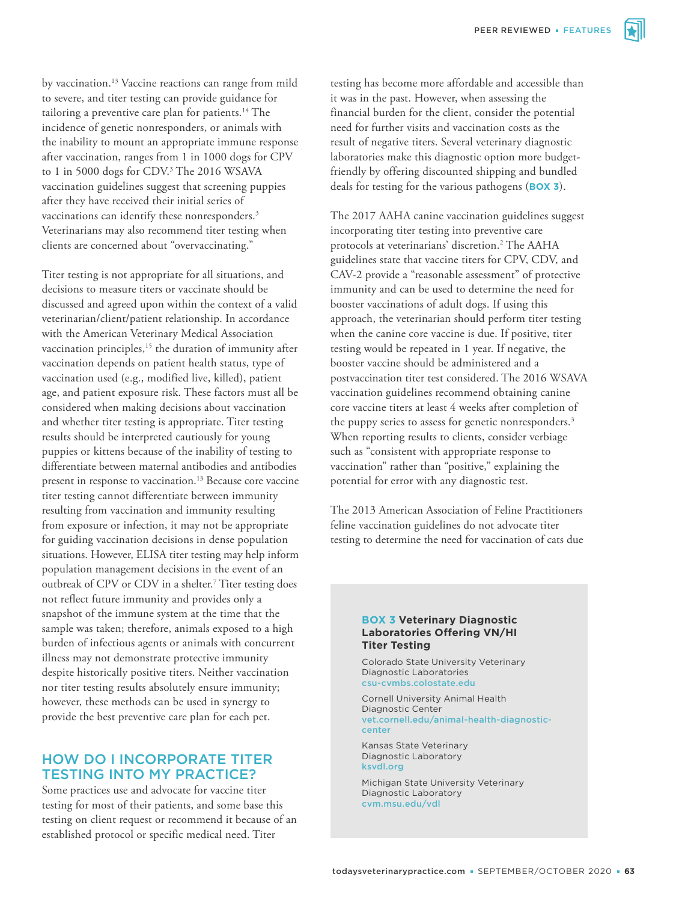by vaccination.13 Vaccine reactions can range from mild to severe, and titer testing can provide guidance for tailoring a preventive care plan for patients.<sup>14</sup> The incidence of genetic nonresponders, or animals with the inability to mount an appropriate immune response after vaccination, ranges from 1 in 1000 dogs for CPV to 1 in 5000 dogs for CDV.<sup>3</sup> The 2016 WSAVA vaccination guidelines suggest that screening puppies after they have received their initial series of vaccinations can identify these nonresponders.<sup>3</sup> Veterinarians may also recommend titer testing when clients are concerned about "overvaccinating."

Titer testing is not appropriate for all situations, and decisions to measure titers or vaccinate should be discussed and agreed upon within the context of a valid veterinarian/client/patient relationship. In accordance with the American Veterinary Medical Association vaccination principles,<sup>15</sup> the duration of immunity after vaccination depends on patient health status, type of vaccination used (e.g., modified live, killed), patient age, and patient exposure risk. These factors must all be considered when making decisions about vaccination and whether titer testing is appropriate. Titer testing results should be interpreted cautiously for young puppies or kittens because of the inability of testing to differentiate between maternal antibodies and antibodies present in response to vaccination.13 Because core vaccine titer testing cannot differentiate between immunity resulting from vaccination and immunity resulting from exposure or infection, it may not be appropriate for guiding vaccination decisions in dense population situations. However, ELISA titer testing may help inform population management decisions in the event of an outbreak of CPV or CDV in a shelter.<sup>7</sup> Titer testing does not reflect future immunity and provides only a snapshot of the immune system at the time that the sample was taken; therefore, animals exposed to a high burden of infectious agents or animals with concurrent illness may not demonstrate protective immunity despite historically positive titers. Neither vaccination nor titer testing results absolutely ensure immunity; however, these methods can be used in synergy to provide the best preventive care plan for each pet.

## HOW DO I INCORPORATE TITER TESTING INTO MY PRACTICE?

Some practices use and advocate for vaccine titer testing for most of their patients, and some base this testing on client request or recommend it because of an established protocol or specific medical need. Titer

testing has become more affordable and accessible than it was in the past. However, when assessing the financial burden for the client, consider the potential need for further visits and vaccination costs as the result of negative titers. Several veterinary diagnostic laboratories make this diagnostic option more budgetfriendly by offering discounted shipping and bundled deals for testing for the various pathogens (**BOX 3**).

The 2017 AAHA canine vaccination guidelines suggest incorporating titer testing into preventive care protocols at veterinarians' discretion.2 The AAHA guidelines state that vaccine titers for CPV, CDV, and CAV-2 provide a "reasonable assessment" of protective immunity and can be used to determine the need for booster vaccinations of adult dogs. If using this approach, the veterinarian should perform titer testing when the canine core vaccine is due. If positive, titer testing would be repeated in 1 year. If negative, the booster vaccine should be administered and a postvaccination titer test considered. The 2016 WSAVA vaccination guidelines recommend obtaining canine core vaccine titers at least 4 weeks after completion of the puppy series to assess for genetic nonresponders.<sup>3</sup> When reporting results to clients, consider verbiage such as "consistent with appropriate response to vaccination" rather than "positive," explaining the potential for error with any diagnostic test.

The 2013 American Association of Feline Practitioners feline vaccination guidelines do not advocate titer testing to determine the need for vaccination of cats due

#### **BOX 3 Veterinary Diagnostic Laboratories Offering VN/HI Titer Testing**

Colorado State University Veterinary Diagnostic Laboratories csu-cvmbs.colostate.edu

Cornell University Animal Health Diagnostic Center vet.cornell.edu/animal-health-diagnosticcenter

Kansas State Veterinary Diagnostic Laboratory ksvdl.org

Michigan State University Veterinary Diagnostic Laboratory cvm.msu.edu/vdl